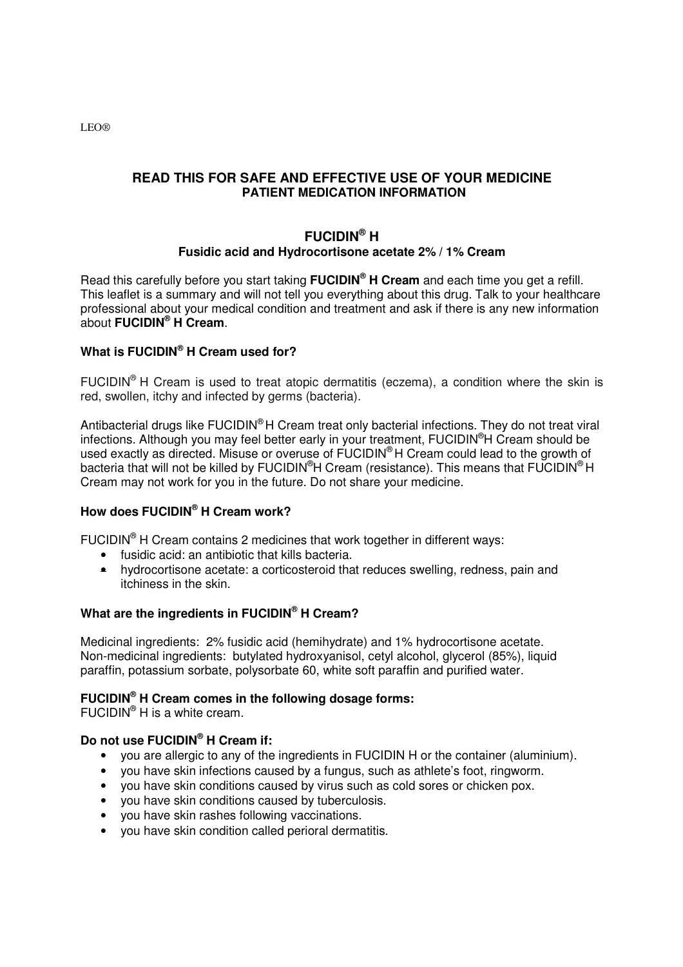**READ THIS FOR SAFE AND EFFECTIVE USE OF YOUR MEDICINE PATIENT MEDICATION INFORMATION** 

# **FUCIDIN® H Fusidic acid and Hydrocortisone acetate 2% / 1% Cream**

Read this carefully before you start taking **FUCIDIN® H Cream** and each time you get a refill. This leaflet is a summary and will not tell you everything about this drug. Talk to your healthcare professional about your medical condition and treatment and ask if there is any new information about **FUCIDIN® H Cream**.

# **What is FUCIDIN® H Cream used for?**

FUCIDIN<sup>®</sup> H Cream is used to treat atopic dermatitis (eczema), a condition where the skin is red, swollen, itchy and infected by germs (bacteria).

Antibacterial drugs like FUCIDIN® H Cream treat only bacterial infections. They do not treat viral infections. Although you may feel better early in your treatment, FUCIDIN®H Cream should be used exactly as directed. Misuse or overuse of FUCIDIN® H Cream could lead to the growth of bacteria that will not be killed by FUCIDIN<sup>®</sup>H Cream (resistance). This means that FUCIDIN<sup>®</sup>H Cream may not work for you in the future. Do not share your medicine.

# **How does FUCIDIN® H Cream work?**

FUCIDIN<sup>®</sup> H Cream contains 2 medicines that work together in different ways:

- fusidic acid: an antibiotic that kills bacteria.
- hydrocortisone acetate: a corticosteroid that reduces swelling, redness, pain and itchiness in the skin.

# **What are the ingredients in FUCIDIN® H Cream?**

Medicinal ingredients:2% fusidic acid (hemihydrate) and 1% hydrocortisone acetate. Non-medicinal ingredients: butylated hydroxyanisol, cetyl alcohol, glycerol (85%), liquid paraffin, potassium sorbate, polysorbate 60, white soft paraffin and purified water.

## **FUCIDIN® H Cream comes in the following dosage forms:**

FUCIDIN<sup>®</sup> H is a white cream.

# **Do not use FUCIDIN® H Cream if:**

- you are allergic to any of the ingredients in FUCIDIN H or the container (aluminium).
- you have skin infections caused by a fungus, such as athlete's foot, ringworm.
- you have skin conditions caused by virus such as cold sores or chicken pox.
- you have skin conditions caused by tuberculosis.
- you have skin rashes following vaccinations.
- you have skin condition called perioral dermatitis.

LEO®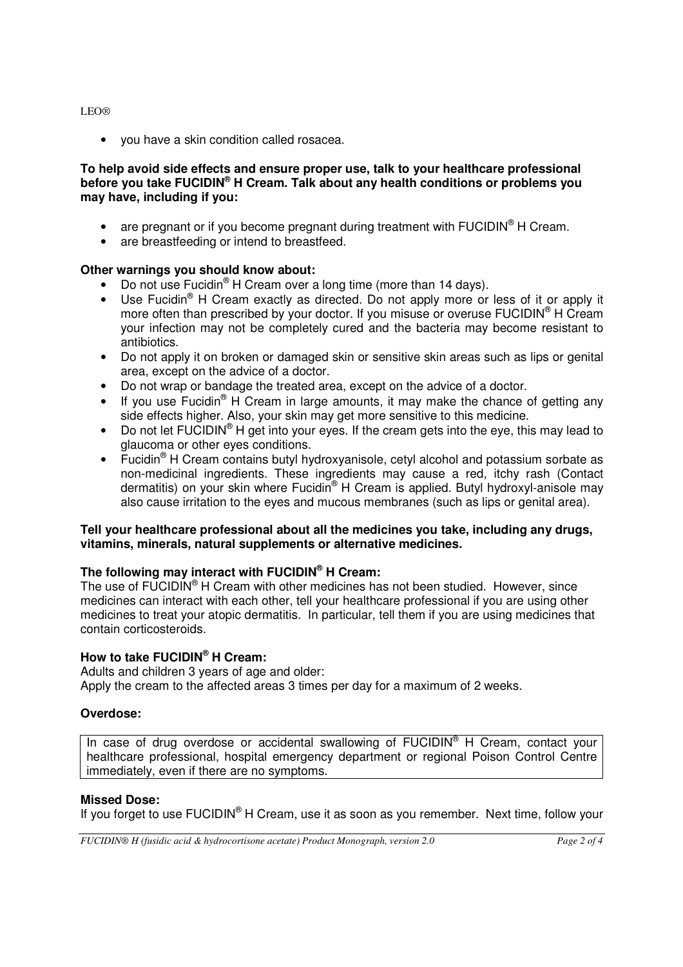#### LEO®

• you have a skin condition called rosacea.

### **To help avoid side effects and ensure proper use, talk to your healthcare professional before you take FUCIDIN® H Cream. Talk about any health conditions or problems you may have, including if you:**

- are pregnant or if you become pregnant during treatment with  $\mathsf{FUCIDIN}^{\circledcirc}$  H Cream.
- are breastfeeding or intend to breastfeed.

### **Other warnings you should know about:**

- Do not use Fucidin<sup>®</sup> H Cream over a long time (more than 14 days).
- Use Fucidin<sup>®</sup> H Cream exactly as directed. Do not apply more or less of it or apply it more often than prescribed by your doctor. If you misuse or overuse FUCIDIN<sup>®</sup> H Cream your infection may not be completely cured and the bacteria may become resistant to antibiotics.
- Do not apply it on broken or damaged skin or sensitive skin areas such as lips or genital area, except on the advice of a doctor.
- Do not wrap or bandage the treated area, except on the advice of a doctor.
- If you use Fucidin<sup>®</sup> H Cream in large amounts, it may make the chance of getting any side effects higher. Also, your skin may get more sensitive to this medicine.
- Do not let  $FUCIDIN^@H$  get into your eyes. If the cream gets into the eye, this may lead to glaucoma or other eyes conditions.
- Fucidin<sup>®</sup> H Cream contains butyl hydroxyanisole, cetyl alcohol and potassium sorbate as non-medicinal ingredients. These ingredients may cause a red, itchy rash (Contact dermatitis) on your skin where Fucidin<sup>®</sup> H Cream is applied. Butyl hydroxyl-anisole may also cause irritation to the eyes and mucous membranes (such as lips or genital area).

#### **Tell your healthcare professional about all the medicines you take, including any drugs, vitamins, minerals, natural supplements or alternative medicines.**

# **The following may interact with FUCIDIN® H Cream:**

The use of FUCIDIN® H Cream with other medicines has not been studied. However, since medicines can interact with each other, tell your healthcare professional if you are using other medicines to treat your atopic dermatitis. In particular, tell them if you are using medicines that contain corticosteroids.

### **How to take FUCIDIN® H Cream:**

Adults and children 3 years of age and older: Apply the cream to the affected areas 3 times per day for a maximum of 2 weeks.

## **Overdose:**

In case of drug overdose or accidental swallowing of FUCIDIN<sup>®</sup> H Cream, contact your healthcare professional, hospital emergency department or regional Poison Control Centre immediately, even if there are no symptoms.

#### **Missed Dose:**

If you forget to use FUCIDIN<sup>®</sup> H Cream, use it as soon as you remember. Next time, follow your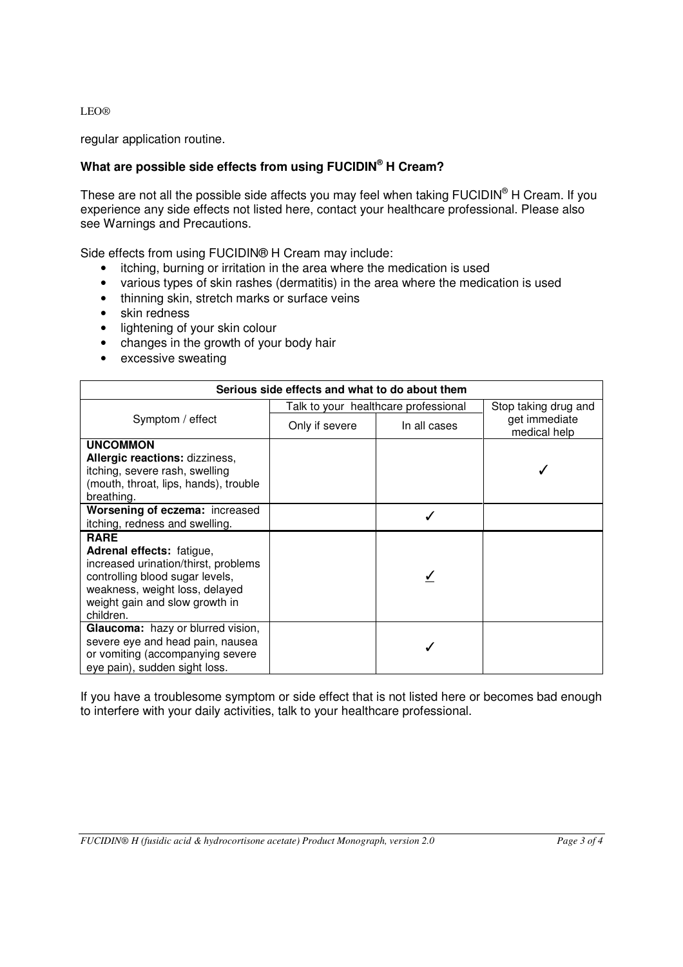LEO®

regular application routine.

# **What are possible side effects from using FUCIDIN® H Cream?**

These are not all the possible side affects you may feel when taking FUCIDIN<sup>®</sup> H Cream. If you experience any side effects not listed here, contact your healthcare professional. Please also see Warnings and Precautions.

Side effects from using FUCIDIN® H Cream may include:

- itching, burning or irritation in the area where the medication is used
- various types of skin rashes (dermatitis) in the area where the medication is used
- thinning skin, stretch marks or surface veins
- skin redness
- lightening of your skin colour
- changes in the growth of your body hair
- excessive sweating

| Serious side effects and what to do about them                                                                                                                                                       |                                      |              |                               |
|------------------------------------------------------------------------------------------------------------------------------------------------------------------------------------------------------|--------------------------------------|--------------|-------------------------------|
| Symptom / effect                                                                                                                                                                                     | Talk to your healthcare professional |              | Stop taking drug and          |
|                                                                                                                                                                                                      | Only if severe                       | In all cases | get immediate<br>medical help |
| <b>UNCOMMON</b><br>Allergic reactions: dizziness,<br>itching, severe rash, swelling<br>(mouth, throat, lips, hands), trouble<br>breathing.                                                           |                                      |              |                               |
| Worsening of eczema: increased<br>itching, redness and swelling.                                                                                                                                     |                                      |              |                               |
| <b>RARE</b><br>Adrenal effects: fatigue,<br>increased urination/thirst, problems<br>controlling blood sugar levels,<br>weakness, weight loss, delayed<br>weight gain and slow growth in<br>children. |                                      |              |                               |
| Glaucoma: hazy or blurred vision,<br>severe eye and head pain, nausea<br>or vomiting (accompanying severe<br>eye pain), sudden sight loss.                                                           |                                      |              |                               |

If you have a troublesome symptom or side effect that is not listed here or becomes bad enough to interfere with your daily activities, talk to your healthcare professional.